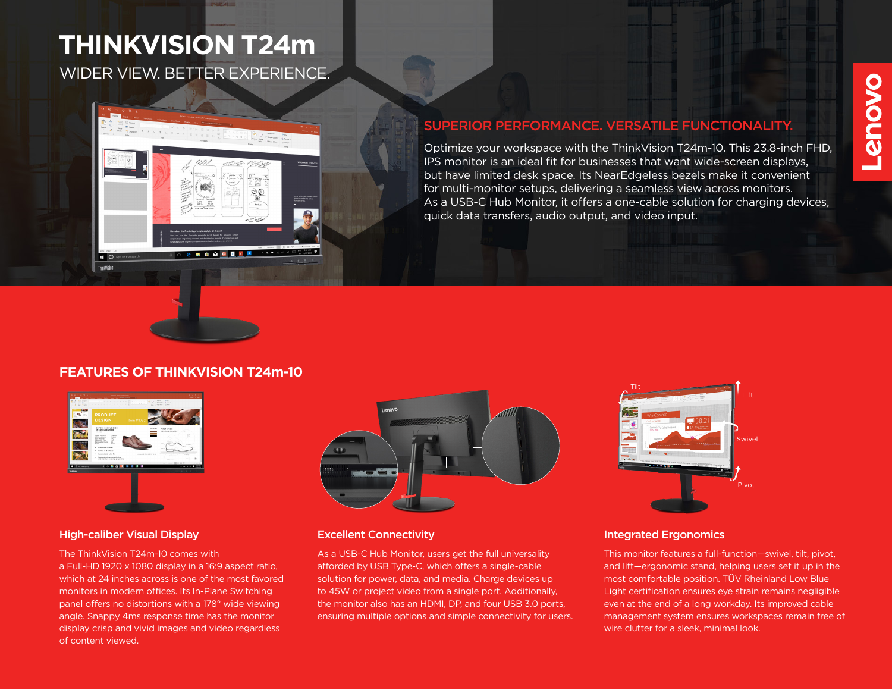# WIDER VIEW. BETTER EXPERIENCE. **THINKVISION T24m**



# SUPERIOR PERFORMANCE. VERSATILE FUNCTIONALITY.

Optimize your workspace with the ThinkVision T24m-10. This 23.8-inch FHD, IPS monitor is an ideal fit for businesses that want wide-screen displays, but have limited desk space. Its NearEdgeless bezels make it convenient for multi-monitor setups, delivering a seamless view across monitors. As a USB-C Hub Monitor, it offers a one-cable solution for charging devices, quick data transfers, audio output, and video input.

# **FEATURES OF THINKVISION T24m-10**



#### High-caliber Visual Display **Excellent Connectivity**

The ThinkVision T24m-10 comes with a Full-HD 1920 x 1080 display in a 16:9 aspect ratio, which at 24 inches across is one of the most favored monitors in modern offices. Its In-Plane Switching panel offers no distortions with a 178° wide viewing angle. Snappy 4ms response time has the monitor display crisp and vivid images and video regardless of content viewed.



As a USB-C Hub Monitor, users get the full universality afforded by USB Type-C, which offers a single-cable solution for power, data, and media. Charge devices up to 45W or project video from a single port. Additionally, the monitor also has an HDMI, DP, and four USB 3.0 ports, ensuring multiple options and simple connectivity for users.



#### Integrated Ergonomics

This monitor features a full-function—swivel, tilt, pivot, and lift—ergonomic stand, helping users set it up in the most comfortable position. TÜV Rheinland Low Blue Light certification ensures eye strain remains negligible even at the end of a long workday. Its improved cable management system ensures workspaces remain free of wire clutter for a sleek, minimal look.